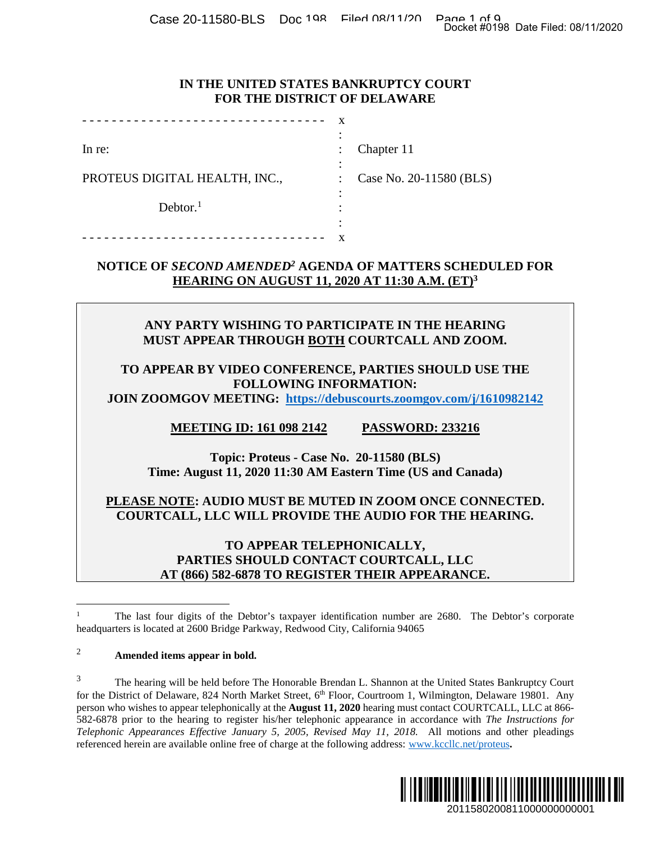Case 20-11580-BLS Doc 198 Filed 08/11/20 Page 1 of 9<br>Docket #0198 Date Filed: 08/11/2020

#### **IN THE UNITED STATES BANKRUPTCY COURT FOR THE DISTRICT OF DELAWARE**

| In re:                        |        | Chapter 11              |
|-------------------------------|--------|-------------------------|
|                               |        |                         |
| PROTEUS DIGITAL HEALTH, INC., |        | Case No. 20-11580 (BLS) |
|                               |        |                         |
| Dektor. <sup>1</sup>          |        |                         |
|                               | ٠<br>۰ |                         |
|                               |        |                         |

# **NOTICE OF** *SECOND AMENDED<sup>2</sup>* **AGENDA OF MATTERS SCHEDULED FOR HEARING ON AUGUST 11, 2020 AT 11:30 A.M. (ET)<sup>3</sup>**

## **ANY PARTY WISHING TO PARTICIPATE IN THE HEARING MUST APPEAR THROUGH BOTH COURTCALL AND ZOOM.**

**TO APPEAR BY VIDEO CONFERENCE, PARTIES SHOULD USE THE FOLLOWING INFORMATION:** 

**JOIN ZOOMGOV MEETING: https://debuscourts.zoomgov.com/j/1610982142** 

**MEETING ID: 161 098 2142 PASSWORD: 233216** 

**Topic: Proteus - Case No. 20-11580 (BLS) Time: August 11, 2020 11:30 AM Eastern Time (US and Canada)** 

# **PLEASE NOTE: AUDIO MUST BE MUTED IN ZOOM ONCE CONNECTED. COURTCALL, LLC WILL PROVIDE THE AUDIO FOR THE HEARING.**

## **TO APPEAR TELEPHONICALLY, PARTIES SHOULD CONTACT COURTCALL, LLC AT (866) 582-6878 TO REGISTER THEIR APPEARANCE.**

#### <sup>2</sup> **Amended items appear in bold.**

<sup>&</sup>lt;sup>3</sup> The hearing will be held before The Honorable Brendan L. Shannon at the United States Bankruptcy Court for the District of Delaware, 824 North Market Street, 6<sup>th</sup> Floor, Courtroom 1, Wilmington, Delaware 19801. Any person who wishes to appear telephonically at the **August 11, 2020** hearing must contact COURTCALL, LLC at 866- 582-6878 prior to the hearing to register his/her telephonic appearance in accordance with *The Instructions for Telephonic Appearances Effective January 5, 2005, Revised May 11, 2018.* All motions and other pleadings referenced herein are available online free of charge at the following address: www.kccllc.net/proteus**.**  Docket #0198 Date Filed: 08/11/2020<br>
2011 1/2020<br>
2011 ICRE<br>
2010 (BLS)<br>
2010 ICRE<br>
2010 ICRE<br>
2010 ICRE THE<br>
2010 ICRE THE<br>
2010 ICRE THE<br>
2010 ICRE THE<br>
2010 ICRE CONNECTED.<br>
2010 ICRE ELEVING.<br>
2010 ICRE CONNECTED.<br>
201



<sup>1</sup> The last four digits of the Debtor's taxpayer identification number are 2680. The Debtor's corporate headquarters is located at 2600 Bridge Parkway, Redwood City, California 94065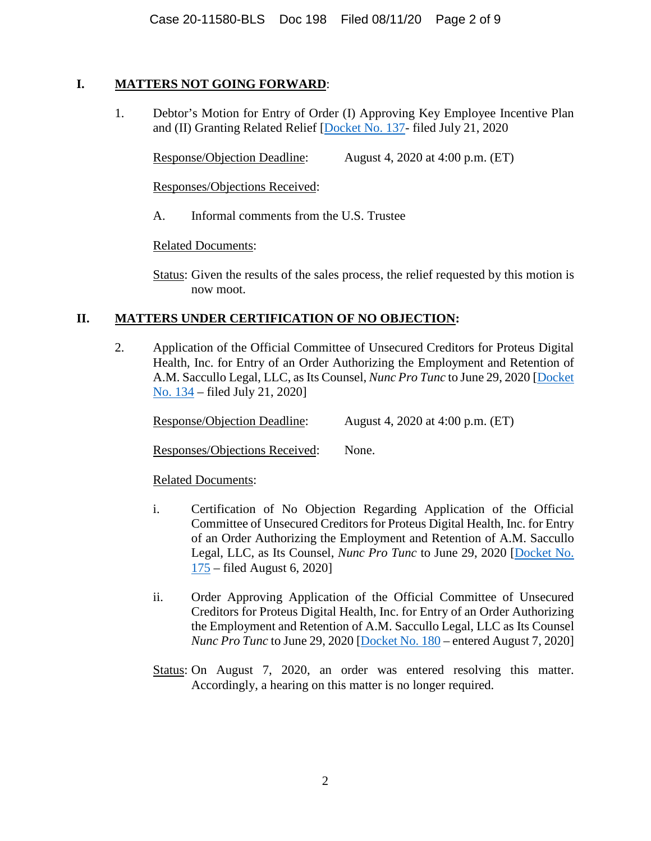## **I. MATTERS NOT GOING FORWARD**:

1. Debtor's Motion for Entry of Order (I) Approving Key Employee Incentive Plan and (II) Granting Related Relief [Docket No. 137- filed July 21, 2020

Response/Objection Deadline: August 4, 2020 at 4:00 p.m. (ET)

Responses/Objections Received:

A. Informal comments from the U.S. Trustee

Related Documents:

Status: Given the results of the sales process, the relief requested by this motion is now moot.

# **II. MATTERS UNDER CERTIFICATION OF NO OBJECTION:**

2. Application of the Official Committee of Unsecured Creditors for Proteus Digital Health, Inc. for Entry of an Order Authorizing the Employment and Retention of A.M. Saccullo Legal, LLC, as Its Counsel, *Nunc Pro Tunc* to June 29, 2020 [Docket No. 134 – filed July 21, 2020]

Response/Objection Deadline: August 4, 2020 at 4:00 p.m. (ET)

Responses/Objections Received: None.

Related Documents:

- i. Certification of No Objection Regarding Application of the Official Committee of Unsecured Creditors for Proteus Digital Health, Inc. for Entry of an Order Authorizing the Employment and Retention of A.M. Saccullo Legal, LLC, as Its Counsel, *Nunc Pro Tunc* to June 29, 2020 [Docket No. 175 – filed August 6, 2020]
- ii. Order Approving Application of the Official Committee of Unsecured Creditors for Proteus Digital Health, Inc. for Entry of an Order Authorizing the Employment and Retention of A.M. Saccullo Legal, LLC as Its Counsel *Nunc Pro Tunc* to June 29, 2020 [Docket No. 180 – entered August 7, 2020]
- Status: On August 7, 2020, an order was entered resolving this matter. Accordingly, a hearing on this matter is no longer required.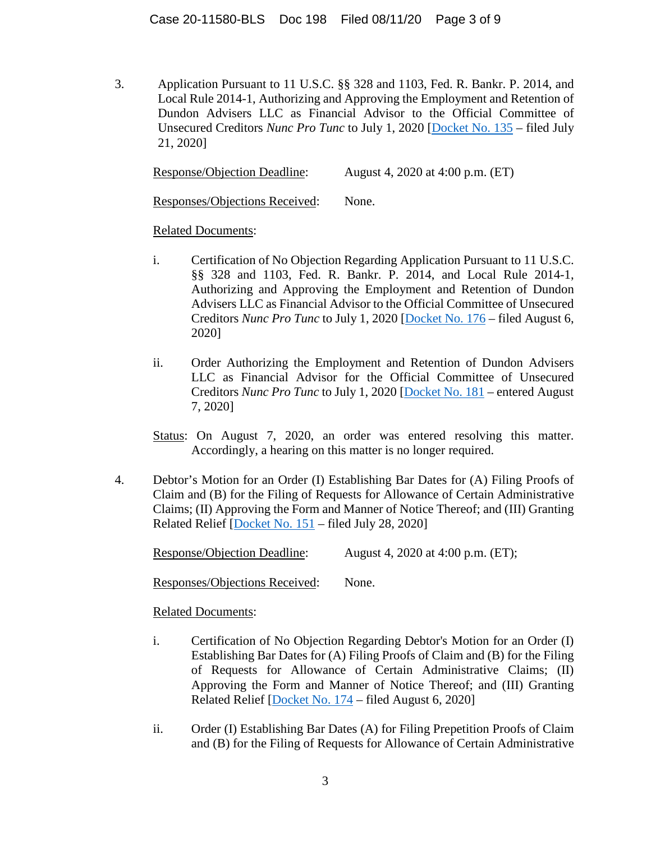3. Application Pursuant to 11 U.S.C. §§ 328 and 1103, Fed. R. Bankr. P. 2014, and Local Rule 2014-1, Authorizing and Approving the Employment and Retention of Dundon Advisers LLC as Financial Advisor to the Official Committee of Unsecured Creditors *Nunc Pro Tunc* to July 1, 2020 [Docket No. 135 – filed July 21, 2020]

Response/Objection Deadline: August 4, 2020 at 4:00 p.m. (ET)

Responses/Objections Received: None.

## Related Documents:

- i. Certification of No Objection Regarding Application Pursuant to 11 U.S.C. §§ 328 and 1103, Fed. R. Bankr. P. 2014, and Local Rule 2014-1, Authorizing and Approving the Employment and Retention of Dundon Advisers LLC as Financial Advisor to the Official Committee of Unsecured Creditors *Nunc Pro Tunc* to July 1, 2020 [Docket No. 176 – filed August 6, 2020]
- ii. Order Authorizing the Employment and Retention of Dundon Advisers LLC as Financial Advisor for the Official Committee of Unsecured Creditors *Nunc Pro Tunc* to July 1, 2020 [Docket No. 181 – entered August 7, 2020]

Status: On August 7, 2020, an order was entered resolving this matter. Accordingly, a hearing on this matter is no longer required.

4. Debtor's Motion for an Order (I) Establishing Bar Dates for (A) Filing Proofs of Claim and (B) for the Filing of Requests for Allowance of Certain Administrative Claims; (II) Approving the Form and Manner of Notice Thereof; and (III) Granting Related Relief [Docket No. 151 – filed July 28, 2020]

Response/Objection Deadline: August 4, 2020 at 4:00 p.m. (ET);

Responses/Objections Received: None.

#### Related Documents:

- i. Certification of No Objection Regarding Debtor's Motion for an Order (I) Establishing Bar Dates for (A) Filing Proofs of Claim and (B) for the Filing of Requests for Allowance of Certain Administrative Claims; (II) Approving the Form and Manner of Notice Thereof; and (III) Granting Related Relief [Docket No. 174 – filed August 6, 2020]
- ii. Order (I) Establishing Bar Dates (A) for Filing Prepetition Proofs of Claim and (B) for the Filing of Requests for Allowance of Certain Administrative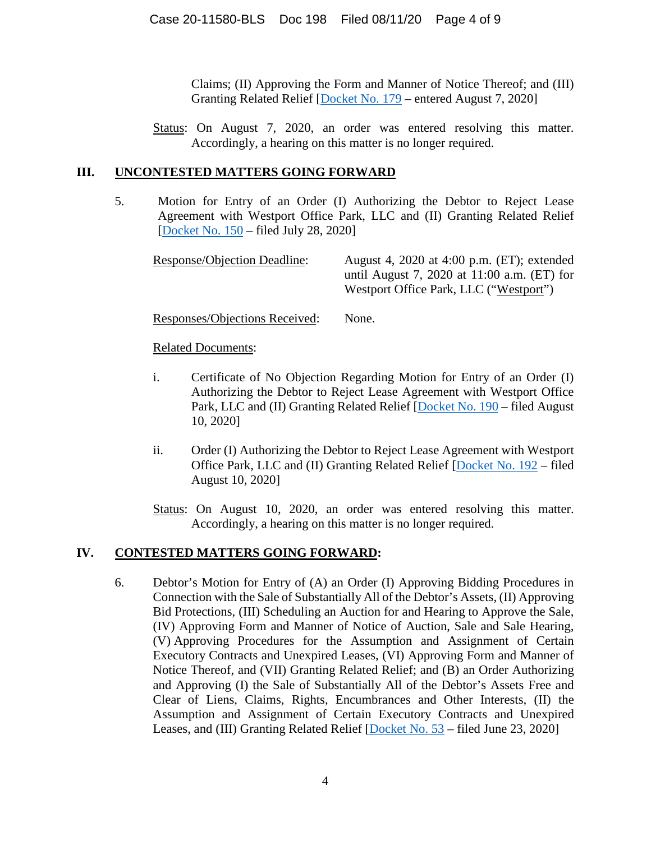Claims; (II) Approving the Form and Manner of Notice Thereof; and (III) Granting Related Relief [Docket No. 179 – entered August 7, 2020]

Status: On August 7, 2020, an order was entered resolving this matter. Accordingly, a hearing on this matter is no longer required.

#### **III. UNCONTESTED MATTERS GOING FORWARD**

5. Motion for Entry of an Order (I) Authorizing the Debtor to Reject Lease Agreement with Westport Office Park, LLC and (II) Granting Related Relief [Docket No. 150 – filed July 28, 2020]

| Response/Objection Deadline: | August 4, 2020 at 4:00 p.m. $(ET)$ ; extended |
|------------------------------|-----------------------------------------------|
|                              | until August 7, 2020 at $11:00$ a.m. (ET) for |
|                              | Westport Office Park, LLC ("Westport")        |

Responses/Objections Received: None.

## Related Documents:

- i. Certificate of No Objection Regarding Motion for Entry of an Order (I) Authorizing the Debtor to Reject Lease Agreement with Westport Office Park, LLC and (II) Granting Related Relief [Docket No. 190 – filed August 10, 2020]
- ii. Order (I) Authorizing the Debtor to Reject Lease Agreement with Westport Office Park, LLC and (II) Granting Related Relief [Docket No. 192 – filed August 10, 2020]
- Status: On August 10, 2020, an order was entered resolving this matter. Accordingly, a hearing on this matter is no longer required.

# **IV. CONTESTED MATTERS GOING FORWARD:**

6. Debtor's Motion for Entry of (A) an Order (I) Approving Bidding Procedures in Connection with the Sale of Substantially All of the Debtor's Assets, (II) Approving Bid Protections, (III) Scheduling an Auction for and Hearing to Approve the Sale, (IV) Approving Form and Manner of Notice of Auction, Sale and Sale Hearing, (V) Approving Procedures for the Assumption and Assignment of Certain Executory Contracts and Unexpired Leases, (VI) Approving Form and Manner of Notice Thereof, and (VII) Granting Related Relief; and (B) an Order Authorizing and Approving (I) the Sale of Substantially All of the Debtor's Assets Free and Clear of Liens, Claims, Rights, Encumbrances and Other Interests, (II) the Assumption and Assignment of Certain Executory Contracts and Unexpired Leases, and (III) Granting Related Relief [Docket No. 53 – filed June 23, 2020]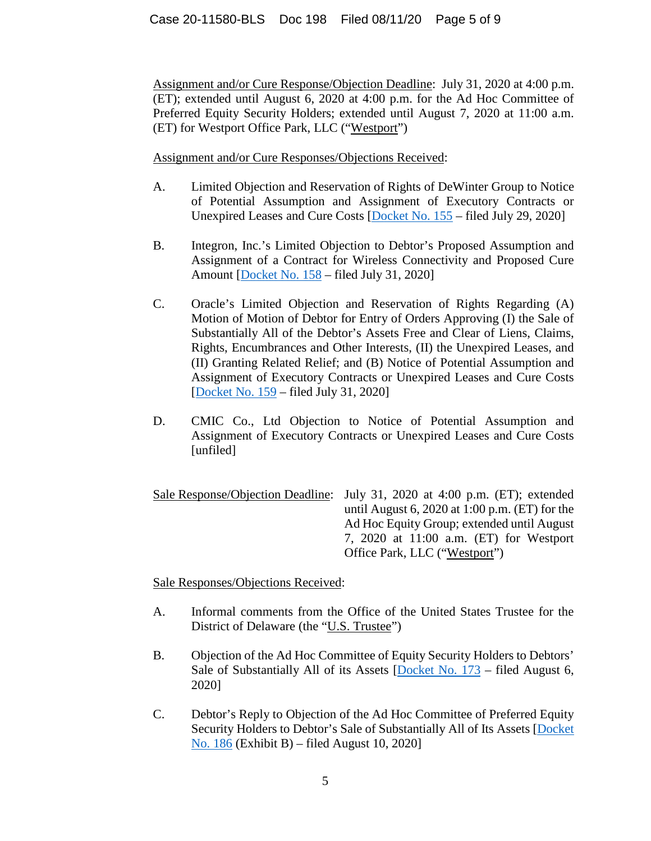Assignment and/or Cure Response/Objection Deadline: July 31, 2020 at 4:00 p.m. (ET); extended until August 6, 2020 at 4:00 p.m. for the Ad Hoc Committee of Preferred Equity Security Holders; extended until August 7, 2020 at 11:00 a.m. (ET) for Westport Office Park, LLC ("Westport")

Assignment and/or Cure Responses/Objections Received:

- A. Limited Objection and Reservation of Rights of DeWinter Group to Notice of Potential Assumption and Assignment of Executory Contracts or Unexpired Leases and Cure Costs [Docket No. 155 – filed July 29, 2020]
- B. Integron, Inc.'s Limited Objection to Debtor's Proposed Assumption and Assignment of a Contract for Wireless Connectivity and Proposed Cure Amount [Docket No. 158 – filed July 31, 2020]
- C. Oracle's Limited Objection and Reservation of Rights Regarding (A) Motion of Motion of Debtor for Entry of Orders Approving (I) the Sale of Substantially All of the Debtor's Assets Free and Clear of Liens, Claims, Rights, Encumbrances and Other Interests, (II) the Unexpired Leases, and (II) Granting Related Relief; and (B) Notice of Potential Assumption and Assignment of Executory Contracts or Unexpired Leases and Cure Costs [Docket No. 159 – filed July 31, 2020]
- D. CMIC Co., Ltd Objection to Notice of Potential Assumption and Assignment of Executory Contracts or Unexpired Leases and Cure Costs [unfiled]

Sale Response/Objection Deadline: July 31, 2020 at 4:00 p.m. (ET); extended until August 6, 2020 at 1:00 p.m. (ET) for the Ad Hoc Equity Group; extended until August 7, 2020 at 11:00 a.m. (ET) for Westport Office Park, LLC ("Westport")

Sale Responses/Objections Received:

- A. Informal comments from the Office of the United States Trustee for the District of Delaware (the "U.S. Trustee")
- B. Objection of the Ad Hoc Committee of Equity Security Holders to Debtors' Sale of Substantially All of its Assets [Docket No. 173 – filed August 6, 2020]
- C. Debtor's Reply to Objection of the Ad Hoc Committee of Preferred Equity Security Holders to Debtor's Sale of Substantially All of Its Assets [Docket No. 186 (Exhibit B) – filed August 10, 2020]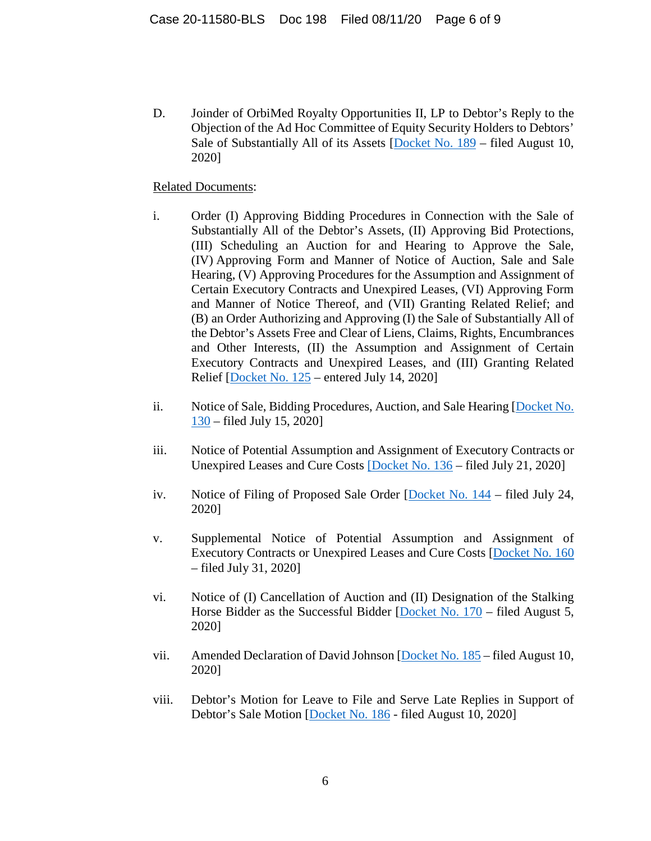D. Joinder of OrbiMed Royalty Opportunities II, LP to Debtor's Reply to the Objection of the Ad Hoc Committee of Equity Security Holders to Debtors' Sale of Substantially All of its Assets [Docket No. 189 – filed August 10, 2020]

## Related Documents:

- i. Order (I) Approving Bidding Procedures in Connection with the Sale of Substantially All of the Debtor's Assets, (II) Approving Bid Protections, (III) Scheduling an Auction for and Hearing to Approve the Sale, (IV) Approving Form and Manner of Notice of Auction, Sale and Sale Hearing, (V) Approving Procedures for the Assumption and Assignment of Certain Executory Contracts and Unexpired Leases, (VI) Approving Form and Manner of Notice Thereof, and (VII) Granting Related Relief; and (B) an Order Authorizing and Approving (I) the Sale of Substantially All of the Debtor's Assets Free and Clear of Liens, Claims, Rights, Encumbrances and Other Interests, (II) the Assumption and Assignment of Certain Executory Contracts and Unexpired Leases, and (III) Granting Related Relief [Docket No. 125 – entered July 14, 2020]
- ii. Notice of Sale, Bidding Procedures, Auction, and Sale Hearing [Docket No. 130 – filed July 15, 2020]
- iii. Notice of Potential Assumption and Assignment of Executory Contracts or Unexpired Leases and Cure Costs [Docket No. 136 – filed July 21, 2020]
- iv. Notice of Filing of Proposed Sale Order [Docket No. 144 filed July 24, 2020]
- v. Supplemental Notice of Potential Assumption and Assignment of Executory Contracts or Unexpired Leases and Cure Costs [Docket No. 160 – filed July 31, 2020]
- vi. Notice of (I) Cancellation of Auction and (II) Designation of the Stalking Horse Bidder as the Successful Bidder [Docket No. 170 – filed August 5, 2020]
- vii. Amended Declaration of David Johnson [Docket No. 185 filed August 10, 2020]
- viii. Debtor's Motion for Leave to File and Serve Late Replies in Support of Debtor's Sale Motion [Docket No. 186 - filed August 10, 2020]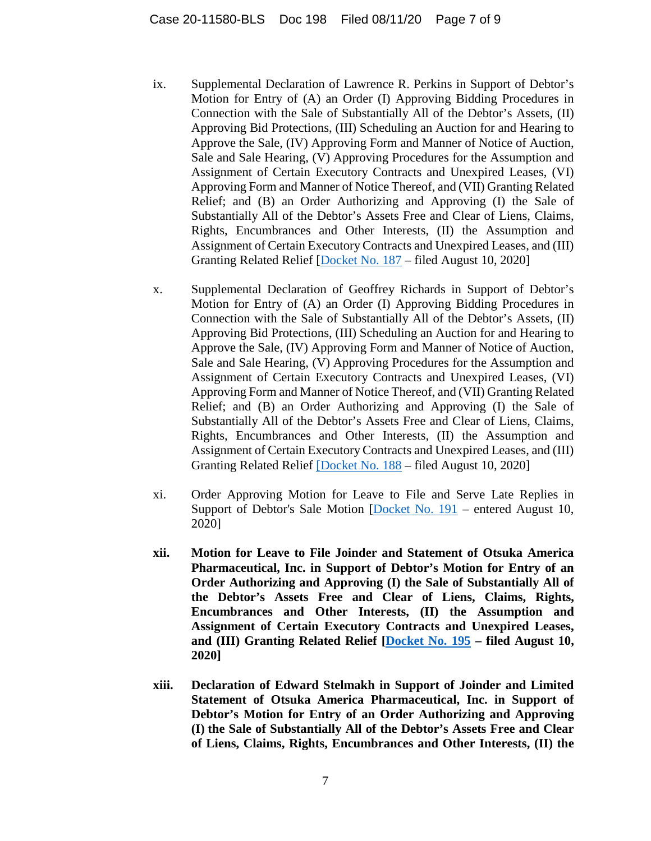- ix. Supplemental Declaration of Lawrence R. Perkins in Support of Debtor's Motion for Entry of (A) an Order (I) Approving Bidding Procedures in Connection with the Sale of Substantially All of the Debtor's Assets, (II) Approving Bid Protections, (III) Scheduling an Auction for and Hearing to Approve the Sale, (IV) Approving Form and Manner of Notice of Auction, Sale and Sale Hearing, (V) Approving Procedures for the Assumption and Assignment of Certain Executory Contracts and Unexpired Leases, (VI) Approving Form and Manner of Notice Thereof, and (VII) Granting Related Relief; and (B) an Order Authorizing and Approving (I) the Sale of Substantially All of the Debtor's Assets Free and Clear of Liens, Claims, Rights, Encumbrances and Other Interests, (II) the Assumption and Assignment of Certain Executory Contracts and Unexpired Leases, and (III) Granting Related Relief [Docket No. 187 – filed August 10, 2020]
- x. Supplemental Declaration of Geoffrey Richards in Support of Debtor's Motion for Entry of (A) an Order (I) Approving Bidding Procedures in Connection with the Sale of Substantially All of the Debtor's Assets, (II) Approving Bid Protections, (III) Scheduling an Auction for and Hearing to Approve the Sale, (IV) Approving Form and Manner of Notice of Auction, Sale and Sale Hearing, (V) Approving Procedures for the Assumption and Assignment of Certain Executory Contracts and Unexpired Leases, (VI) Approving Form and Manner of Notice Thereof, and (VII) Granting Related Relief; and (B) an Order Authorizing and Approving (I) the Sale of Substantially All of the Debtor's Assets Free and Clear of Liens, Claims, Rights, Encumbrances and Other Interests, (II) the Assumption and Assignment of Certain Executory Contracts and Unexpired Leases, and (III) Granting Related Relief [Docket No. 188 – filed August 10, 2020]
- xi. Order Approving Motion for Leave to File and Serve Late Replies in Support of Debtor's Sale Motion [Docket No. 191 – entered August 10, 2020]
- **xii. Motion for Leave to File Joinder and Statement of Otsuka America Pharmaceutical, Inc. in Support of Debtor's Motion for Entry of an Order Authorizing and Approving (I) the Sale of Substantially All of the Debtor's Assets Free and Clear of Liens, Claims, Rights, Encumbrances and Other Interests, (II) the Assumption and Assignment of Certain Executory Contracts and Unexpired Leases, and (III) Granting Related Relief [Docket No. 195 – filed August 10, 2020]**
- **xiii. Declaration of Edward Stelmakh in Support of Joinder and Limited Statement of Otsuka America Pharmaceutical, Inc. in Support of Debtor's Motion for Entry of an Order Authorizing and Approving (I) the Sale of Substantially All of the Debtor's Assets Free and Clear of Liens, Claims, Rights, Encumbrances and Other Interests, (II) the**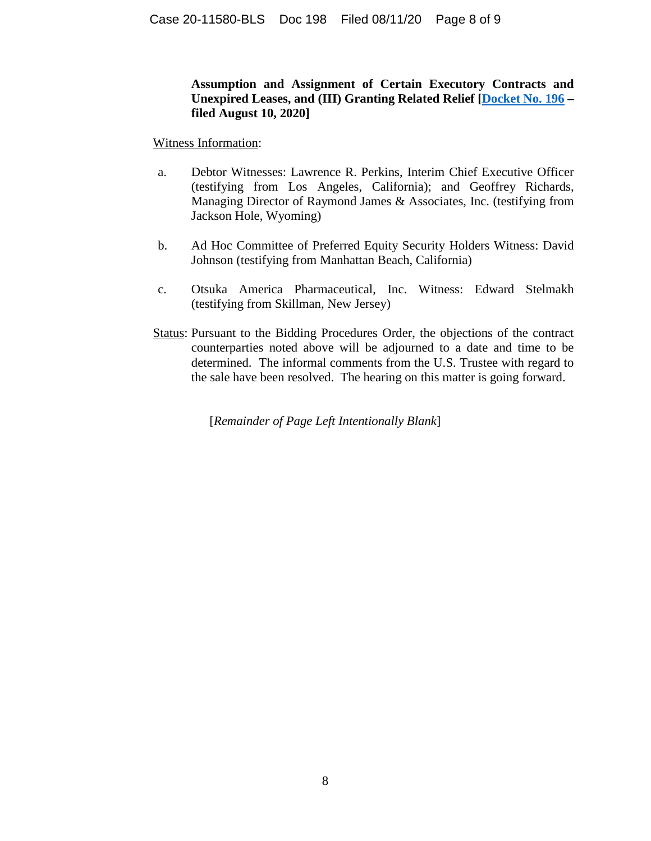## **Assumption and Assignment of Certain Executory Contracts and Unexpired Leases, and (III) Granting Related Relief [Docket No. 196 – filed August 10, 2020]**

#### Witness Information:

- a. Debtor Witnesses: Lawrence R. Perkins, Interim Chief Executive Officer (testifying from Los Angeles, California); and Geoffrey Richards, Managing Director of Raymond James & Associates, Inc. (testifying from Jackson Hole, Wyoming)
- b. Ad Hoc Committee of Preferred Equity Security Holders Witness: David Johnson (testifying from Manhattan Beach, California)
- c. Otsuka America Pharmaceutical, Inc. Witness: Edward Stelmakh (testifying from Skillman, New Jersey)
- Status: Pursuant to the Bidding Procedures Order, the objections of the contract counterparties noted above will be adjourned to a date and time to be determined. The informal comments from the U.S. Trustee with regard to the sale have been resolved. The hearing on this matter is going forward.

[*Remainder of Page Left Intentionally Blank*]